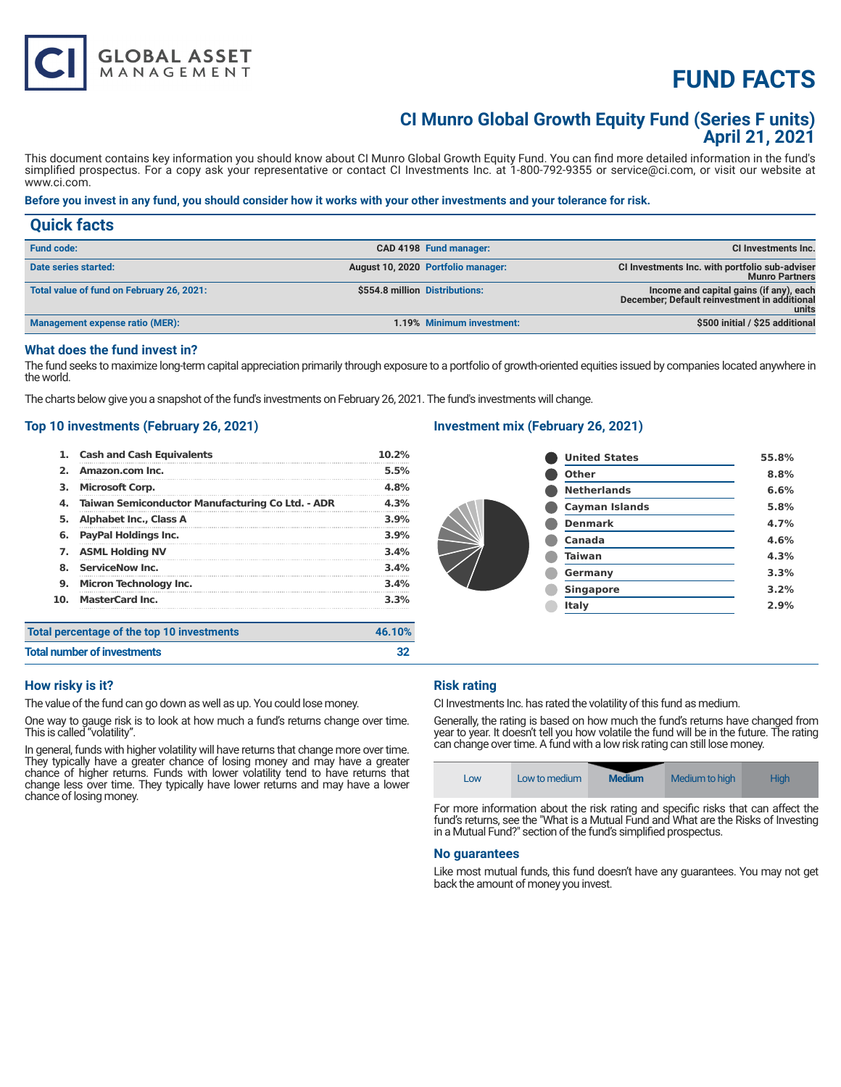# **FUND FACTS**

# **CI Munro Global Growth Equity Fund (Series F units) April 21, 2021**

This document contains key information you should know about CI Munro Global Growth Equity Fund. You can find more detailed information in the fund's simplified prospectus. For a copy ask your representative or contact CI Investments Inc. at 1-800-792-9355 or service@ci.com, or visit our website at www.ci.com.

## **Before you invest in any fund, you should consider how it works with your other investments and your tolerance for risk.**

| <b>Quick facts</b>                        |                                    |                                                                                                  |
|-------------------------------------------|------------------------------------|--------------------------------------------------------------------------------------------------|
| <b>Fund code:</b>                         | CAD 4198 Fund manager:             | CI Investments Inc.                                                                              |
| Date series started:                      | August 10, 2020 Portfolio manager: | CI Investments Inc. with portfolio sub-adviser<br><b>Munro Partners</b>                          |
| Total value of fund on February 26, 2021: | \$554.8 million Distributions:     | Income and capital gains (if any), each<br>December; Default reinvestment in additional<br>units |
| Management expense ratio (MER):           | 1.19% Minimum investment:          | \$500 initial / \$25 additional                                                                  |

# **What does the fund invest in?**

The fund seeks to maximize long-term capital appreciation primarily through exposure to a portfolio of growth-oriented equities issued by companies located anywhere in the world.

The charts below give you a snapshot of the fund's investments on February 26, 2021. The fund's investments will change.

# **Top 10 investments (February 26, 2021)**

**GLOBAL ASSET**<br>MANAGEMENT

|     | <b>Cash and Cash Equivalents</b>                 | 10.2%  |
|-----|--------------------------------------------------|--------|
| 2.  | Amazon.com Inc.                                  | 5.5%   |
| з.  | <b>Microsoft Corp.</b>                           | 4.8%   |
| 4.  | Taiwan Semiconductor Manufacturing Co Ltd. - ADR | 4.3%   |
| 5.  | <b>Alphabet Inc., Class A</b>                    | 3.9%   |
| 6.  | PayPal Holdings Inc.                             | 3.9%   |
| 7.  | <b>ASML Holding NV</b>                           | 3.4%   |
| 8.  | <b>ServiceNow Inc.</b>                           | 3.4%   |
| 9.  | <b>Micron Technology Inc.</b>                    | 3.4%   |
| 10. | <b>MasterCard Inc.</b>                           | 3.3%   |
|     | Total percentage of the top 10 investments       | 46.10% |
|     |                                                  |        |

# **Investment mix (February 26, 2021)**

| <b>United States</b>  | 55.8% |
|-----------------------|-------|
| <b>Other</b>          | 8.8%  |
| <b>Netherlands</b>    | 6.6%  |
| <b>Cayman Islands</b> | 5.8%  |
| <b>Denmark</b>        | 4.7%  |
| Canada                | 4.6%  |
| <b>Taiwan</b>         | 4.3%  |
| Germany               | 3.3%  |
| <b>Singapore</b>      | 3.2%  |
| Italy                 | 2.9%  |
|                       |       |

# **Total number of investments 32**

# **How risky is it?**

The value of the fund can go down as well as up. You could lose money.

One way to gauge risk is to look at how much a fund's returns change over time. This is called "volatility".

In general, funds with higher volatility will have returns that change more over time. They typically have a greater chance of losing money and may have a greater chance of higher returns. Funds with lower volatility tend to have returns that change less over time. They typically have lower returns and may have a lower chance of losing money.

# **Risk rating**

CI Investments Inc. has rated the volatility of this fund as medium.

Generally, the rating is based on how much the fund's returns have changed from year to year. It doesn't tell you how volatile the fund will be in the future. The rating can change over time. A fund with a low risk rating can still lose money.

| Low | Low to medium | <b>Medium</b> | Medium to high | High |
|-----|---------------|---------------|----------------|------|
|     |               |               |                |      |

For more information about the risk rating and specific risks that can affect the fund's returns, see the "What is a Mutual Fund and What are the Risks of Investing in a Mutual Fund?" section of the fund's simplified prospectus.

#### **No guarantees**

Like most mutual funds, this fund doesn't have any guarantees. You may not get back the amount of money you invest.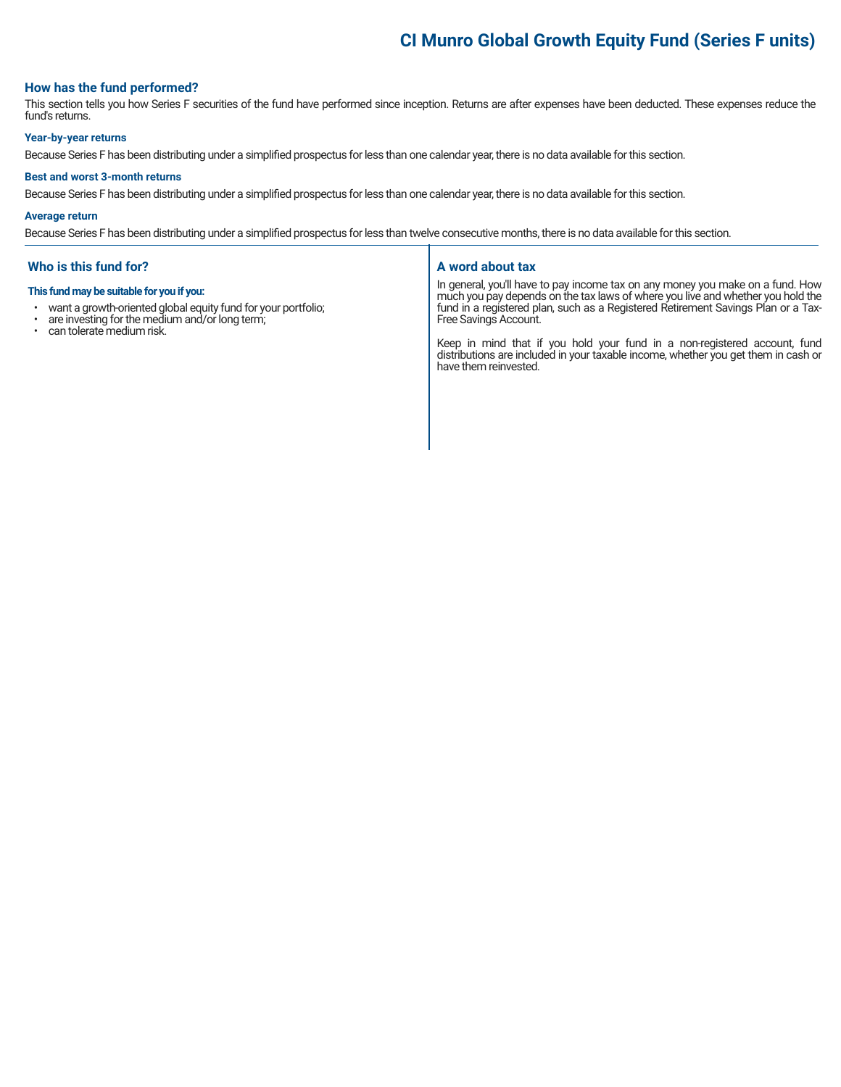# **CI Munro Global Growth Equity Fund (Series F units)**

# **How has the fund performed?**

This section tells you how Series F securities of the fund have performed since inception. Returns are after expenses have been deducted. These expenses reduce the fund's returns.

#### **Year-by-year returns**

Because Series F has been distributing under a simplified prospectus for less than one calendar year, there is no data available for this section.

#### **Best and worst 3-month returns**

Because Series F has been distributing under a simplified prospectus for less than one calendar year, there is no data available for this section.

#### **Average return**

Because Series F has been distributing under a simplified prospectus for less than twelve consecutive months, there is no data available for this section.

## **Who is this fund for?**

#### **This fund may be suitable for you if you:**

- want a growth-oriented global equity fund for your portfolio;<br>• are investing for the medium and/or long term:
- are investing for the medium and/or long term;<br>• can telerate medium risk
- can tolerate medium risk.

#### **A word about tax**

In general, you'll have to pay income tax on any money you make on a fund. How much you pay depends on the tax laws of where you live and whether you hold the fund in a registered plan, such as a Registered Retirement Savings Plan or a Tax-Free Savings Account.

Keep in mind that if you hold your fund in a non-registered account, fund distributions are included in your taxable income, whether you get them in cash or have them reinvested.